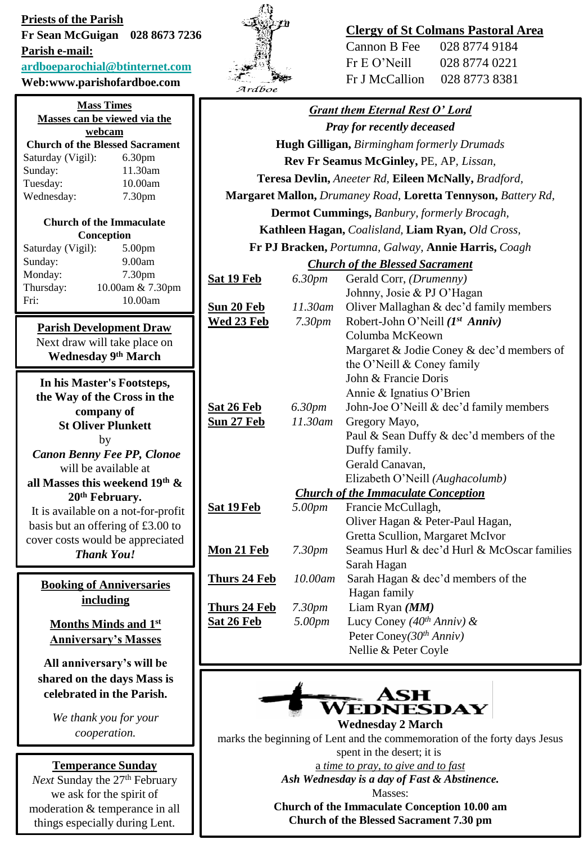**Priests of the Parish Fr Sean McGuigan 028 8673 7236 Parish e-mail: [ardboeparochial@btinternet.com](mailto:ardboeparochial@btinternet.com) Web:www.parishofardboe.com**

## **Mass Times Masses can be viewed via the webcam Church of the Blessed Sacrament** Saturday (Vigil): 6.30pm Sunday: 11.30am Tuesday: 10.00am Wednesday: 7.30pm **Church of the Immaculate Conception** Saturday (Vigil): 5.00pm Sunday: 9.00am Monday: 7.30pm Thursday: 10.00am & 7.30pm Fri: 10.00am **Parish Development Draw** Next draw will take place on **Wednesday 9th March In his Master's Footsteps, the Way of the Cross in the company of**

cover costs would be appreciated *Thank You!*

**St Oliver Plunkett** by *Canon Benny Fee PP, Clonoe* will be available at **all Masses this weekend 19th & 20th February.** It is available on a not-for-profit basis but an offering of £3.00 to

**Booking of Anniversaries including** 

**Months Minds and 1st Anniversary's Masses**

**All anniversary's will be shared on the days Mass is celebrated in the Parish.** 

> *We thank you for your cooperation.*

## **Temperance Sunday**

*Next* Sunday the 27<sup>th</sup> February we ask for the spirit of moderation & temperance in all things especially during Lent.



## **Clergy of St Colmans Pastoral Area**

| 028 8774 9184 |
|---------------|
| 028 8774 0221 |
| 028 8773 8381 |
|               |

| <b>Grant them Eternal Rest O' Lord</b>                        |                    |                                             |  |
|---------------------------------------------------------------|--------------------|---------------------------------------------|--|
| <b>Pray for recently deceased</b>                             |                    |                                             |  |
| <b>Hugh Gilligan, Birmingham formerly Drumads</b>             |                    |                                             |  |
| Rev Fr Seamus McGinley, PE, AP, Lissan,                       |                    |                                             |  |
| Teresa Devlin, Aneeter Rd, Eileen McNally, Bradford,          |                    |                                             |  |
| Margaret Mallon, Drumaney Road, Loretta Tennyson, Battery Rd, |                    |                                             |  |
| Dermot Cummings, Banbury, formerly Brocagh,                   |                    |                                             |  |
| Kathleen Hagan, Coalisland, Liam Ryan, Old Cross,             |                    |                                             |  |
| Fr PJ Bracken, Portumna, Galway, Annie Harris, Coagh          |                    |                                             |  |
| <b>Church of the Blessed Sacrament</b>                        |                    |                                             |  |
| <u>Sat 19 Feb</u>                                             | 6.30pm             | Gerald Corr, (Drumenny)                     |  |
|                                                               |                    | Johnny, Josie & PJ O'Hagan                  |  |
| <u>Sun 20 Feb</u>                                             | 11.30am            | Oliver Mallaghan & dec'd family members     |  |
| <u>Wed 23 Feb</u>                                             | 7.30 <sub>pm</sub> | Robert-John O'Neill (1st Anniv)             |  |
|                                                               |                    | Columba McKeown                             |  |
|                                                               |                    | Margaret & Jodie Coney & dec'd members of   |  |
|                                                               |                    | the O'Neill & Coney family                  |  |
|                                                               |                    | John & Francie Doris                        |  |
|                                                               |                    | Annie & Ignatius O'Brien                    |  |
| <u>Sat 26 Feb</u>                                             | 6.30pm             | John-Joe O'Neill & dec'd family members     |  |
| <u>Sun 27 Feb</u>                                             | 11.30am            | Gregory Mayo,                               |  |
|                                                               |                    | Paul & Sean Duffy & dec'd members of the    |  |
|                                                               |                    | Duffy family.                               |  |
|                                                               |                    | Gerald Canavan,                             |  |
|                                                               |                    | Elizabeth O'Neill (Aughacolumb)             |  |
| <b>Church of the Immaculate Conception</b>                    |                    |                                             |  |
| <u>Sat 19 Feb</u>                                             | 5.00pm             | Francie McCullagh,                          |  |
|                                                               |                    | Oliver Hagan & Peter-Paul Hagan,            |  |
|                                                               |                    | Gretta Scullion, Margaret McIvor            |  |
| <u>Mon 21 Feb</u>                                             | 7.30pm             | Seamus Hurl & dec'd Hurl & McOscar families |  |
|                                                               |                    | Sarah Hagan                                 |  |
| <b>Thurs 24 Feb</b>                                           | 10.00am            | Sarah Hagan & dec'd members of the          |  |
|                                                               |                    | Hagan family                                |  |
| <b>Thurs 24 Feb</b>                                           | 7.30 <sub>pm</sub> | Liam Ryan (MM)                              |  |
| <u>Sat 26 Feb</u>                                             | 5.00pm             | Lucy Coney (40 <sup>th</sup> Anniv) &       |  |
|                                                               |                    | Peter Coney( $30th Anniv$ )                 |  |
|                                                               |                    | Nellie & Peter Coyle                        |  |
|                                                               |                    |                                             |  |



**Wednesday 2 March**  marks the beginning of Lent and the commemoration of the forty days Jesus spent in the desert; it is

a *time to pray, to give and to fast Ash Wednesday is a day of Fast & Abstinence.* Masses:

**Church of the Immaculate Conception 10.00 am Church of the Blessed Sacrament 7.30 pm**